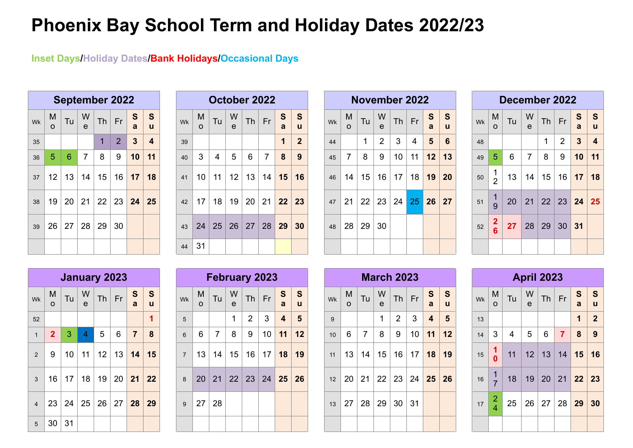## **Phoenix Bay School Term and Holiday Dates 2022/23**

**Inset Days/Holiday Dates/Bank Holidays/Occasional Days**

|    |                 |                     |                   | <b>September 2022</b>     |    |                |                |
|----|-----------------|---------------------|-------------------|---------------------------|----|----------------|----------------|
| Wk | M<br>$\Omega$   | $\frac{S}{a}$       | $\mathbf{s}$<br>ū |                           |    |                |                |
| 35 |                 |                     |                   | 1                         | 2  | $\overline{3}$ | $\overline{4}$ |
| 36 | 5               | $6\phantom{1}6$     | $\overline{7}$    | 8                         | 9  | 10             | 11             |
| 37 | 12 <sup>1</sup> |                     |                   | $13 \mid 14 \mid 15 \mid$ |    | $16$ 17        | 18             |
| 38 | 19              |                     | 20 21             | 22 23 24 25               |    |                |                |
| 39 |                 | $26$   27   28   29 |                   |                           | 30 |                |                |
|    |                 |                     |                   |                           |    |                |                |

|    |               |    |                   | <b>September 2022</b> |                |              |                         |           |                 | October 2022   |        |    |                |                |                |    |              |                 |                   | <b>November 2022</b> |                |                     |               |    |                | December 2022 |                   |          |    |                   |                |
|----|---------------|----|-------------------|-----------------------|----------------|--------------|-------------------------|-----------|-----------------|----------------|--------|----|----------------|----------------|----------------|----|--------------|-----------------|-------------------|----------------------|----------------|---------------------|---------------|----|----------------|---------------|-------------------|----------|----|-------------------|----------------|
| Wk | M<br>$\Omega$ | Tu | W<br>$\mathbf{e}$ | Th                    | Fr             | S<br>a       | S<br>u                  | <b>Wk</b> | M<br>$\Omega$   | Tu             | W<br>e | Th | Fr             | S<br>a         | S<br><b>u</b>  | Wk | M<br>$\circ$ | Tu              | W<br>$\mathbf{e}$ | Th                   | Fr             | S<br>$\overline{a}$ | <b>S</b><br>u | Wk | M<br>$\Omega$  | Tu            | W<br>$\mathbf{e}$ | Th       | Fr | $S \mid S$<br>a u |                |
| 35 |               |    |                   |                       | $\overline{2}$ | $\mathbf{3}$ | $\overline{\mathbf{4}}$ | 39        |                 |                |        |    |                |                | $\overline{2}$ | 44 |              |                 | $\overline{2}$    | 3                    | $\overline{4}$ | 5                   | 6             | 48 |                |               |                   |          | 2  | 3 <sup>1</sup>    | $\overline{4}$ |
| 36 | $\sqrt{5}$    | 6  | $\overline{7}$    | 8                     | 9              | 10           | 11                      | 40        | $\mathbf{3}$    | $\overline{4}$ | 5      | 6  | $\overline{7}$ | 8 <sup>°</sup> | 9              | 45 | 7            | 8               | 9                 | 10                   | 11             | 12                  | 13            | 49 | 5              | 6             | $\overline{7}$    | 8        | 9  | 10                | 11             |
| 37 | 12            | 13 | 14                | 15                    | 16             | 17           | 18                      | 41        | 10 <sup>°</sup> | 11             | 12     | 13 | 14             | 15             | 16             | 46 | 14           | 15 <sup>1</sup> | 16                | 17                   | 18             | 19                  | <b>20</b>     | 50 | $\overline{2}$ | 13            | 14                | 15       |    | 16 17 18          |                |
| 38 | 19            | 20 |                   | $21 \mid 22 \mid$     | 23             | 24           | 25                      | 42        | 17              | 18             | 19     | 20 | $\vert$ 21     | 22             | 23             | 47 | 21           |                 |                   | 22 23 24 25          |                | 26                  | 27            | 51 | 1<br>9         | 20            | 21                | 22 23    |    | 24 25             |                |
| 39 | 26            | 27 |                   | 28 29                 | 30             |              |                         | 43        | 24              | 25 26 27       |        |    | 28 29          |                | 30             | 48 | 28           | 29 30           |                   |                      |                |                     |               | 52 | $\frac{2}{6}$  | 27            | 28                | 29 30 31 |    |                   |                |
|    |               |    |                   |                       |                |              |                         | 44        | 31              |                |        |    |                |                |                |    |              |                 |                   |                      |                |                     |               |    |                |               |                   |          |    |                   |                |

|    |               |              |                | November 2022                           |            |            |                   |
|----|---------------|--------------|----------------|-----------------------------------------|------------|------------|-------------------|
| Wk | M<br>$\Omega$ | Tu           | W<br>e         | $Th$ Fr                                 |            | S<br>a     | $\mathbf{s}$<br>ū |
| 44 |               | 1            | $\overline{2}$ | 3                                       | $\vert$ 4  | $-5$       | 6                 |
| 45 | 7             | 8            | 9              | 10 <sup>°</sup>                         | $\vert$ 11 | $\vert$ 12 | 13                |
| 46 |               |              |                | 14   15   16   17   18   <b>19   20</b> |            |            |                   |
|    |               |              |                | 47 21 22 23 24 25 26 27                 |            |            |                   |
| 48 |               | 28   29   30 |                |                                         |            |            |                   |
|    |               |              |                |                                         |            |            |                   |

|    |               | December 2022   |                |                                     |                |              |                         |
|----|---------------|-----------------|----------------|-------------------------------------|----------------|--------------|-------------------------|
| Wk | M<br>$\Omega$ | Tu              | W<br>e         |                                     | $Th$ Fr        | S<br>a       | $\mid$ S<br>ū           |
| 48 |               |                 |                | 1                                   | $\overline{2}$ | $\mathbf{3}$ | $\overline{\mathbf{4}}$ |
| 49 | 5             | 6               | 7              | 8                                   | 9              | 10           | 11                      |
| 50 | $\frac{1}{2}$ | 13 <sup>7</sup> |                | 14   15   16   <mark>17   18</mark> |                |              |                         |
| 51 | $\frac{1}{9}$ | 20              |                |                                     |                |              |                         |
| 52 | $\frac{2}{6}$ |                 | 27 28 29 30 31 |                                     |                |              |                         |
|    |               |                 |                |                                     |                |              |                         |

|                |                |    |                |                | January 2023                                 |                   |        |
|----------------|----------------|----|----------------|----------------|----------------------------------------------|-------------------|--------|
| Wk             | M<br>$\Omega$  | Tu | W<br>e         |                | $Th$ Fr                                      | $\mathbf{s}$<br>a | S<br>ū |
| 52             |                |    |                |                |                                              |                   | 1      |
| $\overline{1}$ | $\overline{2}$ | 3  | $\overline{4}$ | 5 <sup>5</sup> | 6                                            | $\overline{7}$    | 8      |
| $\overline{2}$ | 9              |    | $10$ 11        |                | $12$ 13 14                                   |                   | 15     |
| 3 <sup>1</sup> |                |    |                |                | 16   17   18   19   20   21   22             |                   |        |
| $\overline{4}$ |                |    |                |                | $23 \mid 24 \mid 25 \mid 26 \mid 27 \mid 28$ |                   | 29     |
| 5              | 30             | 31 |                |                |                                              |                   |        |

|                |               |                |        | <b>February 2023</b>     |                |                   |              |
|----------------|---------------|----------------|--------|--------------------------|----------------|-------------------|--------------|
| Wk             | M<br>$\Omega$ | Tu             | W<br>e | $Th$ Fr                  |                | $\mathbf{s}$<br>a | S<br>ū       |
| 5              |               |                | 3      | $\overline{4}$           | $5\phantom{1}$ |                   |              |
| 6              | 6             | $\overline{7}$ | 8      | 9                        | 10             | 11                | 12           |
| 7 <sup>1</sup> | 13            |                |        | $14$   15   16   17   18 |                |                   | $ 19\rangle$ |
| 8              |               |                |        | 20 21 22 23 24 25 26     |                |                   |              |
| 9              | 27            | 28             |        |                          |                |                   |              |
|                |               |                |        |                          |                |                   |              |

|                |                |     |                   | January 2023    |                 |                |                   |                  |              | February 2023  |                   |                |                 |                         |                   |    |              |                |                     | <b>March 2023</b> |    |                         |                |    |                                         |                |                   | <b>April 2023</b> |                |                       |                |
|----------------|----------------|-----|-------------------|-----------------|-----------------|----------------|-------------------|------------------|--------------|----------------|-------------------|----------------|-----------------|-------------------------|-------------------|----|--------------|----------------|---------------------|-------------------|----|-------------------------|----------------|----|-----------------------------------------|----------------|-------------------|-------------------|----------------|-----------------------|----------------|
| Wk             | M<br>$\Omega$  | Tu, | W<br>$\mathbf{e}$ | <b>Th</b>       | Fr              | S<br>a         | $\mathbf{s}$<br>u | Wk               | M<br>$\circ$ | Tu             | W<br>$\mathbf{e}$ | T <sub>h</sub> | Fr              | S<br>$\overline{a}$     | S<br>$\mathbf{u}$ | Wk | M<br>$\circ$ | Tu             | W<br>$\overline{e}$ | Th                | Fr | S<br>a                  | S<br>u         | Wk | $\begin{array}{c}\nM \\ O\n\end{array}$ | Tu             | W<br>$\mathbf{e}$ | Th                | Fr             | $\frac{S}{a}$         | S              |
| 52             |                |     |                   |                 |                 |                |                   | 5                |              |                | $\mathbf{1}$      | 2              | $\mathbf{3}$    | $\overline{\mathbf{4}}$ | $5\phantom{1}$    | 9  |              |                | $\mathbf{1}$        | 2                 | 3  | $\overline{\mathbf{4}}$ | 5 <sup>5</sup> | 13 |                                         |                |                   |                   |                | $\mathbf{1}$          | $\overline{2}$ |
| 1              | $\overline{2}$ | 3   | $\overline{4}$    | 5 <sup>5</sup>  | 6               | $\overline{7}$ | 8                 | $6 \overline{6}$ | 6            | $\overline{7}$ | 8                 | 9              | 10 <sup>1</sup> | 11                      | 12                | 10 | 6            | $\overline{7}$ | 8                   | 9                 | 10 | 11                      | 12             | 14 | 3                                       | $\overline{4}$ | 5                 | $6\phantom{1}$    | $\overline{7}$ | $\boldsymbol{8}$      | 9              |
| $\overline{2}$ | 9              | 10  | 11                | 12              | 13              | 14             | 15                | $\overline{7}$   | 13           | 14             | 15                | 16             | 17              | 18                      | 19                | 11 | 13           | 14             | 15                  | 16                | 17 | 18                      | 19             | 15 | $\begin{array}{c} 1 \\ 0 \end{array}$   | 11             | 12                | 13                | 14             | 15                    | 1 <sup>1</sup> |
| 3 <sup>1</sup> | 16             | 17  | 18                | 19 <sub>1</sub> | 20 <sup>1</sup> | 21             | 22                | 8                | 20           | 21             | 22                | 23             | 24              | 25                      | 26                | 12 | 20           | 21             | 22                  | 23                | 24 | 25                      | 26             | 16 | $\frac{1}{7}$                           | 18             | 19                | $20$ 21           |                | $\vert$ 22 $\vert$ 23 |                |
| $\overline{4}$ | 23             | 24  | 25                | 26              | 27              | 28             | 29                | 9                | 27           | 28             |                   |                |                 |                         |                   | 13 | 27           | 28             | 29                  | 30                | 31 |                         |                | 17 | $\frac{2}{4}$                           | 25             | 26                | 27                | 28             | 29 30                 |                |
|                | $5 \mid 30$    | 31  |                   |                 |                 |                |                   |                  |              |                |                   |                |                 |                         |                   |    |              |                |                     |                   |    |                         |                |    |                                         |                |                   |                   |                |                       |                |

|    |                                         |    |        | <b>April 2023</b>   |                |                   |                |
|----|-----------------------------------------|----|--------|---------------------|----------------|-------------------|----------------|
| Wk | M<br>$\Omega$                           | Tu | W<br>e | <b>Th</b>           | Fr             | $\mathbf{s}$<br>a | S<br>ū         |
| 13 |                                         |    |        |                     |                | $\overline{1}$    | $\overline{2}$ |
| 14 | 3                                       | 4  | 5      | 6                   | $\overline{7}$ | 8                 | 9              |
| 15 | $\mathbf{1}$<br>$\overline{\mathbf{0}}$ | 11 |        | $12$ 13 14 15       |                |                   | 16             |
| 16 | $\frac{1}{7}$                           |    |        | 18 19 20 21 22 23   |                |                   |                |
| 17 | $\frac{2}{4}$                           | 25 |        | $26$   27   28   29 |                |                   | 30             |
|    |                                         |    |        |                     |                |                   |                |